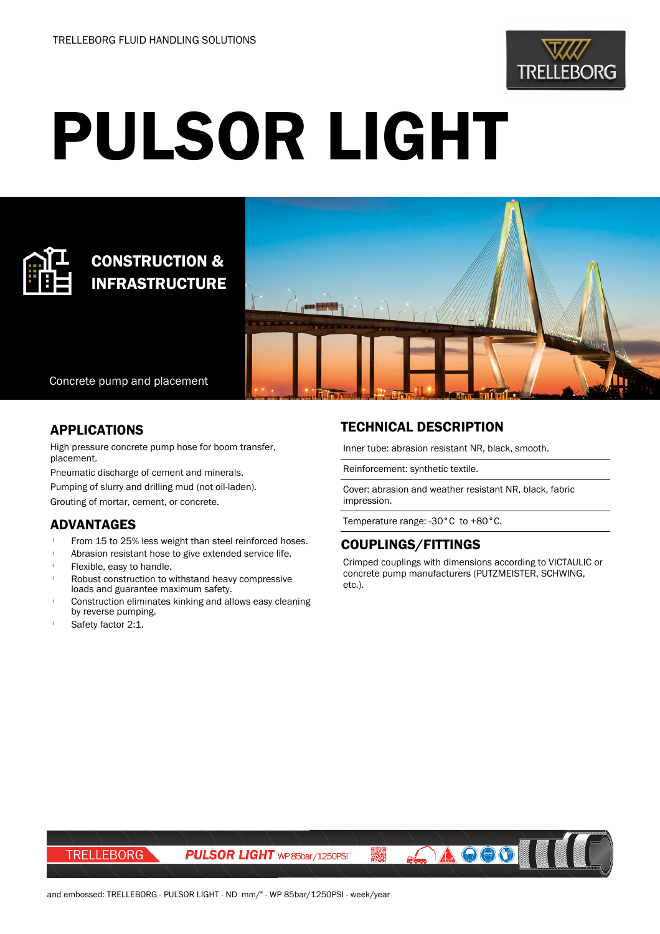

# PULSOR LIGHT



# CONSTRUCTION & INFRASTRUCTURE



Concrete pump and placement

#### APPLICATIONS

High pressure concrete pump hose for boom transfer, placement.

Pneumatic discharge of cement and minerals.

Pumping of slurry and drilling mud (not oil-laden).

Grouting of mortar, cement, or concrete.

### ADVANTAGES

- From 15 to 25% less weight than steel reinforced hoses.
- Abrasion resistant hose to give extended service life.
- Flexible, easy to handle.
- Robust construction to withstand heavy compressive loads and guarantee maximum safety.
- Construction eliminates kinking and allows easy cleaning by reverse pumping.
- Safety factor 2:1.

## TECHNICAL DESCRIPTION

Inner tube: abrasion resistant NR, black, smooth.

Reinforcement: synthetic textile.

Cover: abrasion and weather resistant NR, black, fabric impression.

Temperature range: -30°C to +80°C.

#### COUPLINGS/FITTINGS

霧

Crimped couplings with dimensions according to VICTAULIC or concrete pump manufacturers (PUTZMEISTER, SCHWING, etc.).

**AOOOI** 

**TRELLEBORG** 

**PULSOR LIGHT** WP 85bar/1250PSI

and embossed: TRELLEBORG - PULSOR LIGHT - ND mm/" - WP 85bar/1250PSI - week/year